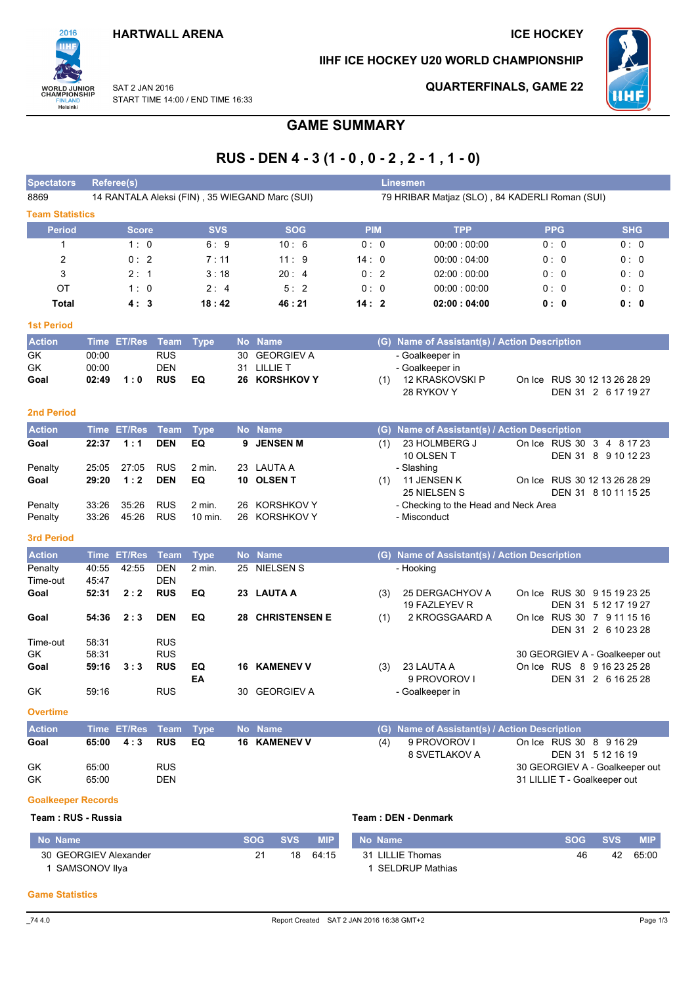

#### IIHF ICE HOCKEY U20 WORLD CHAMPIONSHIP



**QUARTERFINALS, GAME 22** 

SAT 2 JAN 2016 START TIME 14:00 / END TIME 16:33

# **GAME SUMMARY**

# RUS - DEN 4 - 3 (1 - 0, 0 - 2, 2 - 1, 1 - 0)

| <b>Spectators</b>         | Referee(s)                                     |                  |                          |                |           |                                                |            | <b>Linesmen</b> |         |                                               |                                                                |            |                      |            |  |  |
|---------------------------|------------------------------------------------|------------------|--------------------------|----------------|-----------|------------------------------------------------|------------|-----------------|---------|-----------------------------------------------|----------------------------------------------------------------|------------|----------------------|------------|--|--|
| 8869                      | 14 RANTALA Aleksi (FIN), 35 WIEGAND Marc (SUI) |                  |                          |                |           | 79 HRIBAR Matjaz (SLO), 84 KADERLI Roman (SUI) |            |                 |         |                                               |                                                                |            |                      |            |  |  |
| <b>Team Statistics</b>    |                                                |                  |                          |                |           |                                                |            |                 |         |                                               |                                                                |            |                      |            |  |  |
| <b>Period</b>             |                                                | <b>Score</b>     |                          | <b>SVS</b>     |           | <b>SOG</b>                                     |            | <b>PIM</b>      |         | <b>TPP</b>                                    | <b>PPG</b>                                                     |            |                      | <b>SHG</b> |  |  |
| 1                         |                                                | 1:0              |                          | 6:9            |           | 10:6                                           |            | 0:0             |         | 00:00:00:00                                   | 0:0                                                            |            |                      | 0:0        |  |  |
| 2                         |                                                | 0:2              |                          | 7:11           |           | 11:9                                           |            | 14:0            |         | 00:00:04:00                                   | 0:0                                                            |            |                      | 0:0        |  |  |
| 3                         |                                                | 2:1              |                          | 3:18           |           | 20:4                                           |            | 0:2             |         | 02:00:00:00                                   | 0: 0                                                           |            |                      | 0:0        |  |  |
| OT                        |                                                | 1:0              |                          | 2:4            |           | 5:2                                            |            | 0:0             |         | 00:00:00:00                                   | 0:0                                                            |            |                      | 0:0        |  |  |
| Total                     |                                                | 4:3              |                          | 18:42          |           | 46:21                                          |            | 14:2            |         | 02:00:04:00                                   | 0: 0                                                           |            |                      | 0:0        |  |  |
| <b>1st Period</b>         |                                                |                  |                          |                |           |                                                |            |                 |         |                                               |                                                                |            |                      |            |  |  |
| <b>Action</b>             |                                                | Time ET/Res Team |                          | <b>Type</b>    |           | No Name                                        |            |                 |         | (G) Name of Assistant(s) / Action Description |                                                                |            |                      |            |  |  |
| GK                        | 00:00                                          |                  | <b>RUS</b>               |                | 30        | <b>GEORGIEV A</b>                              |            |                 |         | - Goalkeeper in                               |                                                                |            |                      |            |  |  |
| GK                        | 00:00                                          |                  | <b>DEN</b>               |                | 31        | <b>LILLIE T</b>                                |            |                 |         | - Goalkeeper in                               |                                                                |            |                      |            |  |  |
| Goal                      | 02:49                                          | 1:0              | <b>RUS</b>               | EQ             |           | 26 KORSHKOV Y                                  |            |                 | (1)     | 12 KRASKOVSKI P<br>28 RYKOV Y                 | On Ice RUS 30 12 13 26 28 29                                   |            | DEN 31 2 6 17 19 27  |            |  |  |
| <b>2nd Period</b>         |                                                |                  |                          |                |           |                                                |            |                 |         |                                               |                                                                |            |                      |            |  |  |
| <b>Action</b>             |                                                | Time ET/Res      | Team                     | <b>Type</b>    |           | No Name                                        |            |                 |         | (G) Name of Assistant(s) / Action Description |                                                                |            |                      |            |  |  |
| Goal                      | 22:37                                          | 1:1              | <b>DEN</b>               | EQ             | 9         | <b>JENSEN M</b>                                |            |                 | (1)     | 23 HOLMBERG J                                 | On Ice RUS 30 3 4 8 17 23                                      |            |                      |            |  |  |
|                           |                                                |                  |                          |                |           |                                                |            |                 |         | 10 OLSEN T                                    |                                                                |            | DEN 31 8 9 10 12 23  |            |  |  |
| Penalty                   | 25:05                                          | 27:05<br>1:2     | <b>RUS</b><br><b>DEN</b> | $2$ min.<br>EQ |           | 23 LAUTA A<br><b>OLSENT</b>                    |            |                 |         | - Slashing                                    | On Ice RUS 30 12 13 26 28 29                                   |            |                      |            |  |  |
| Goal                      | 29:20                                          |                  |                          |                | 10        |                                                |            |                 | (1)     | 11 JENSEN K<br>25 NIELSEN S                   |                                                                |            | DEN 31 8 10 11 15 25 |            |  |  |
| Penalty                   | 33:26                                          | 35:26            | <b>RUS</b>               | $2$ min.       | 26        | KORSHKOV Y                                     |            |                 |         | - Checking to the Head and Neck Area          |                                                                |            |                      |            |  |  |
| Penalty                   | 33:26                                          | 45:26            | <b>RUS</b>               | 10 min.        |           | 26 KORSHKOV Y                                  |            |                 |         | - Misconduct                                  |                                                                |            |                      |            |  |  |
| 3rd Period                |                                                |                  |                          |                |           |                                                |            |                 |         |                                               |                                                                |            |                      |            |  |  |
| <b>Action</b>             | <b>Time</b>                                    | <b>ET/Res</b>    | <b>Team</b>              | <b>Type</b>    | <b>No</b> | <b>Name</b>                                    |            |                 |         | (G) Name of Assistant(s) / Action Description |                                                                |            |                      |            |  |  |
| Penalty                   | 40:55                                          | 42:55            | <b>DEN</b>               | $2$ min.       | 25        | <b>NIELSEN S</b>                               |            |                 |         | - Hooking                                     |                                                                |            |                      |            |  |  |
| Time-out                  | 45:47                                          |                  | DEN                      |                |           |                                                |            |                 |         |                                               |                                                                |            |                      |            |  |  |
| Goal                      | 52:31                                          | 2:2              | <b>RUS</b>               | EQ             |           | 23 LAUTA A                                     |            |                 | (3)     | 25 DERGACHYOV A                               | On Ice RUS 30 9 15 19 23 25                                    |            |                      |            |  |  |
| Goal                      | 54:36                                          | 2:3              | <b>DEN</b>               | EQ             | 28        | <b>CHRISTENSEN E</b>                           |            |                 | (1)     | 19 FAZLEYEV R<br>2 KROGSGAARD A               | On Ice RUS 30 7 9 11 15 16                                     |            | DEN 31 5 12 17 19 27 |            |  |  |
|                           |                                                |                  |                          |                |           |                                                |            |                 |         |                                               |                                                                |            | DEN 31 2 6 10 23 28  |            |  |  |
| Time-out                  | 58:31                                          |                  | <b>RUS</b>               |                |           |                                                |            |                 |         |                                               |                                                                |            |                      |            |  |  |
| GK                        | 58:31                                          |                  | <b>RUS</b>               |                |           |                                                |            |                 |         |                                               | 30 GEORGIEV A - Goalkeeper out                                 |            |                      |            |  |  |
| Goal                      | 59:16                                          | 3:3              | <b>RUS</b>               | EQ             |           | <b>16 KAMENEV V</b>                            |            |                 | (3)     | 23 LAUTA A                                    | On Ice RUS 8 9 16 23 25 28                                     |            | DEN 31 2 6 16 25 28  |            |  |  |
| GK                        | 59:16                                          |                  | <b>RUS</b>               | EA             | 30        | <b>GEORGIEV A</b>                              |            |                 |         | 9 PROVOROV I<br>- Goalkeeper in               |                                                                |            |                      |            |  |  |
| <b>Overtime</b>           |                                                |                  |                          |                |           |                                                |            |                 |         |                                               |                                                                |            |                      |            |  |  |
| <b>Action</b>             |                                                | Time ET/Res Team |                          | <b>Type</b>    |           | No Name                                        |            |                 |         | (G) Name of Assistant(s) / Action Description |                                                                |            |                      |            |  |  |
| Goal                      | 65:00                                          | 4:3              | <b>RUS</b>               | EQ             |           | 16 KAMENEV V                                   |            |                 | (4)     | 9 PROVOROV I                                  | On Ice RUS 30 8 9 16 29                                        |            |                      |            |  |  |
|                           |                                                |                  |                          |                |           |                                                |            |                 |         | 8 SVETLAKOV A                                 |                                                                |            | DEN 31 5 12 16 19    |            |  |  |
| GK<br>GK                  | 65:00<br>65:00                                 |                  | <b>RUS</b><br><b>DEN</b> |                |           |                                                |            |                 |         |                                               | 30 GEORGIEV A - Goalkeeper out<br>31 LILLIE T - Goalkeeper out |            |                      |            |  |  |
|                           |                                                |                  |                          |                |           |                                                |            |                 |         |                                               |                                                                |            |                      |            |  |  |
| <b>Goalkeeper Records</b> |                                                |                  |                          |                |           |                                                |            |                 |         |                                               |                                                                |            |                      |            |  |  |
| Team: RUS - Russia        |                                                |                  |                          |                |           |                                                |            |                 |         | Team: DEN - Denmark                           |                                                                |            |                      |            |  |  |
| No Name                   |                                                |                  |                          |                |           | <b>SOG</b><br><b>SVS</b>                       | <b>MIP</b> |                 | No Name |                                               |                                                                | <b>SOG</b> | <b>SVS</b>           | <b>MIP</b> |  |  |

| 30 GEORGIEV Alexande |
|----------------------|
| 1 SAMSONOV IIya      |

| <b>Name</b>               | <b>SOG</b> | <b>SVS</b> | <b>MIP</b> | No Name          | <b>SOG</b> | <b>SVS</b> | <b>MIP</b> |
|---------------------------|------------|------------|------------|------------------|------------|------------|------------|
| <b>GEORGIEV Alexander</b> |            | 18         | 64:15      | 31 LILLIE Thomas | 46         |            | 65:00      |
| SAMSONOV IIva             |            |            |            | SELDRUP Mathias  |            |            |            |

#### **Game Statistics**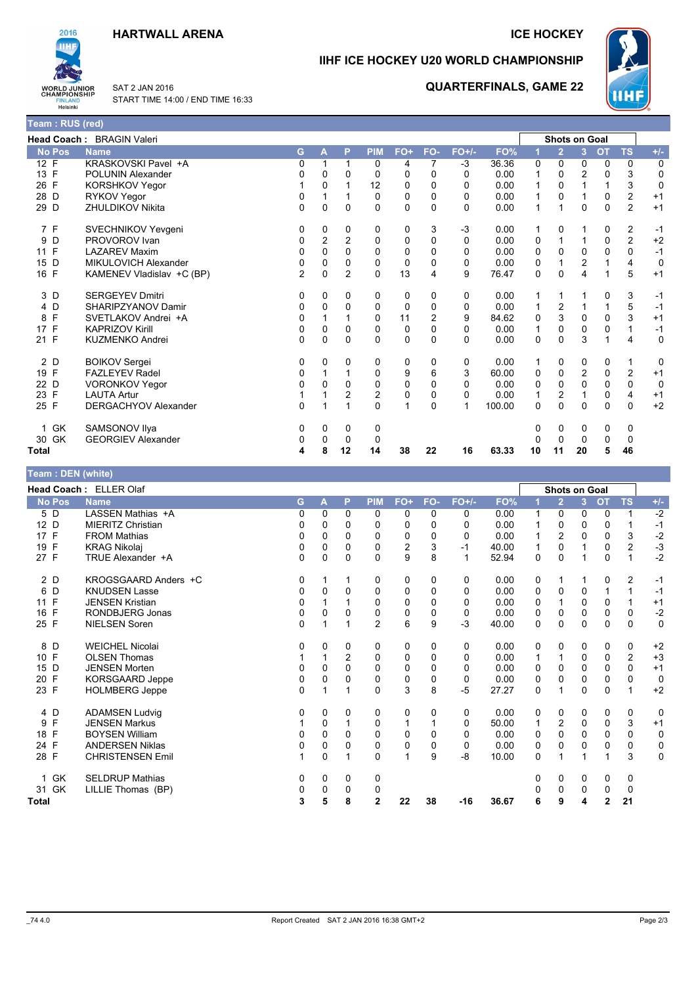#### **HARTWALL ARENA**



Team : RUS (red)

SAT 2 JAN 2016 START TIME 14:00 / END TIME 16:33

### **ICE HOCKEY**

# IIHF ICE HOCKEY U20 WORLD CHAMPIONSHIP



**QUARTERFINALS, GAME 22** 

|               | Head Coach: BRAGIN Valeri |    |                |                |                |             |                |          |        |              | <b>Shots on Goal</b> |                |           |                         |             |
|---------------|---------------------------|----|----------------|----------------|----------------|-------------|----------------|----------|--------|--------------|----------------------|----------------|-----------|-------------------------|-------------|
| <b>No Pos</b> | <b>Name</b>               | G. | A              | P              | <b>PIM</b>     | FO+         | FO-            | $FO+/-$  | FO%    |              | $\overline{2}$       | 3              | <b>OT</b> | <b>TS</b>               | $+/-$       |
| 12 F          | KRASKOVSKI Pavel +A       | 0  |                | 1              | 0              | 4           | 7              | $-3$     | 36.36  | 0            | $\Omega$             | 0              | 0         | 0                       | 0           |
| 13 F          | <b>POLUNIN Alexander</b>  | 0  | 0              | 0              | 0              | 0           | 0              | 0        | 0.00   |              | 0                    | $\overline{2}$ | 0         | 3                       | 0           |
| 26 F          | <b>KORSHKOV Yegor</b>     |    | $\Omega$       | 1              | 12             | $\mathbf 0$ | 0              | 0        | 0.00   | 1            | 0                    | 1              | 1         | 3                       | $\mathbf 0$ |
| 28 D          | RYKOV Yegor               | 0  |                |                | 0              | 0           | 0              | 0        | 0.00   |              | 0                    |                | 0         | $\overline{\mathbf{c}}$ | $+1$        |
| 29 D          | ZHULDIKOV Nikita          | 0  | $\Omega$       | $\Omega$       | $\Omega$       | $\Omega$    | $\mathbf{0}$   | $\Omega$ | 0.00   | $\mathbf{1}$ | 1                    | $\Omega$       | $\Omega$  | $\overline{2}$          | $+1$        |
| 7 F           | SVECHNIKOV Yevgeni        | 0  | 0              | 0              | 0              | 0           | 3              | $-3$     | 0.00   | 1            | 0                    | 1              | 0         | 2                       | $-1$        |
| 9<br>D        | PROVOROV Ivan             | 0  | $\overline{2}$ | $\overline{c}$ | 0              | 0           | 0              | 0        | 0.00   | 0            |                      | 1              | 0         | $\overline{2}$          | $+2$        |
| 11 F          | <b>LAZAREV Maxim</b>      | 0  | $\Omega$       | $\mathbf 0$    | 0              | 0           | 0              | 0        | 0.00   | 0            | 0                    | 0              | 0         | 0                       | $-1$        |
| 15 D          | MIKULOVICH Alexander      | 0  | 0              | 0              | 0              | 0           | 0              | 0        | 0.00   | 0            |                      | 2              |           | 4                       | 0           |
| 16 F          | KAMENEV Vladislav +C (BP) | 2  | $\Omega$       | $\overline{2}$ | 0              | 13          | 4              | 9        | 76.47  | 0            | 0                    | 4              |           | 5                       | $+1$        |
| 3 D           | <b>SERGEYEV Dmitri</b>    | 0  | 0              | 0              | 0              | 0           | 0              | 0        | 0.00   | 1            | 1                    |                | 0         | 3                       | $-1$        |
| 4 D           | SHARIPZYANOV Damir        | 0  | 0              | 0              | 0              | 0           | 0              | 0        | 0.00   | 1            | 2                    | 1              |           | 5                       | $-1$        |
| F<br>8        | SVETLAKOV Andrei +A       | 0  |                | 1              | 0              | 11          | $\overline{c}$ | 9        | 84.62  | 0            | 3                    | 0              | 0         | 3                       | $+1$        |
| 17 F          | <b>KAPRIZOV Kirill</b>    | 0  | 0              | 0              | 0              | 0           | 0              | 0        | 0.00   | 1            | 0                    | 0              | 0         | 1                       | $-1$        |
| 21 F          | KUZMENKO Andrei           | 0  | $\Omega$       | $\Omega$       | $\Omega$       | 0           | $\Omega$       | $\Omega$ | 0.00   | 0            | 0                    | 3              |           | 4                       | $\mathbf 0$ |
| 2D            | <b>BOIKOV Sergei</b>      | 0  | 0              | 0              | 0              | 0           | 0              | 0        | 0.00   |              | 0                    | 0              | 0         | 1                       | 0           |
| 19 F          | <b>FAZLEYEV Radel</b>     | 0  |                | 1              | 0              | 9           | 6              | 3        | 60.00  | 0            | $\mathbf 0$          | $\overline{2}$ | 0         | $\overline{2}$          | $+1$        |
| 22 D          | <b>VORONKOV Yegor</b>     | 0  | $\Omega$       | 0              | 0              | 0           | 0              | 0        | 0.00   | 0            | 0                    | 0              | 0         | 0                       | 0           |
| 23 F          | <b>LAUTA Artur</b>        |    |                | $\overline{c}$ | $\overline{2}$ | $\pmb{0}$   | 0              | 0        | 0.00   | $\mathbf{1}$ | 2                    | 1              | 0         | 4                       | $+1$        |
| 25 F          | DERGACHYOV Alexander      | 0  |                | 1              | 0              | 1           | $\mathbf{0}$   | 1        | 100.00 | 0            | 0                    | $\Omega$       | $\Omega$  | $\mathbf 0$             | $+2$        |
| GK<br>1       | SAMSONOV IIya             | 0  | 0              | 0              | 0              |             |                |          |        | 0            | 0                    | 0              | 0         | 0                       |             |
| 30 GK         | <b>GEORGIEV Alexander</b> | 0  | $\Omega$       | 0              | 0              |             |                |          |        | 0            | 0                    | $\Omega$       | 0         | 0                       |             |
| <b>Total</b>  |                           | 4  | 8              | 12             | 14             | 38          | 22             | 16       | 63.33  | 10           | 11                   | 20             | 5         | 46                      |             |

| leam : DEN (white) |                          |   |          |                |                |             |     |         |       |          |                      |                |           |                |             |
|--------------------|--------------------------|---|----------|----------------|----------------|-------------|-----|---------|-------|----------|----------------------|----------------|-----------|----------------|-------------|
|                    | Head Coach: ELLER Olaf   |   |          |                |                |             |     |         |       |          | <b>Shots on Goal</b> |                |           |                |             |
| <b>No Pos</b>      | <b>Name</b>              | G | A        | P              | <b>PIM</b>     | FO+         | FO- | $FO+/-$ | FO%   |          | $\overline{2}$       | 3 <sup>1</sup> | <b>OT</b> | <b>TS</b>      | $+/-$       |
| 5 D                | LASSEN Mathias +A        | 0 | 0        | $\Omega$       | 0              | 0           | 0   | 0       | 0.00  | 1        | 0                    | 0              | 0         | 1              | $-2$        |
| 12 D               | <b>MIERITZ Christian</b> | 0 | 0        | $\Omega$       | 0              | 0           | 0   | 0       | 0.00  | 1        | 0                    | 0              | 0         | 1              | $-1$        |
| 17 F               | <b>FROM Mathias</b>      | 0 | 0        | 0              | 0              | 0           | 0   | 0       | 0.00  |          | 2                    | $\Omega$       | 0         | 3              | $-2$        |
| 19 F               | <b>KRAG Nikolaj</b>      | 0 | 0        | 0              | 0              | 2           | 3   | $-1$    | 40.00 |          | $\mathbf 0$          |                | 0         | $\overline{c}$ | $-3$        |
| 27 F               | TRUE Alexander +A        | 0 | $\Omega$ | 0              | $\Omega$       | 9           | 8   | 1       | 52.94 | 0        | $\Omega$             |                | 0         | 1              | $-2$        |
| 2 D                | KROGSGAARD Anders +C     | 0 |          |                | 0              | 0           | 0   | 0       | 0.00  | 0        | 1                    |                | 0         | $\overline{c}$ | $-1$        |
| 6 D                | <b>KNUDSEN Lasse</b>     | 0 | $\Omega$ | 0              | 0              | 0           | 0   | 0       | 0.00  | 0        | 0                    | 0              |           | 1              | $-1$        |
| $\mathsf{F}$<br>11 | <b>JENSEN Kristian</b>   | 0 |          |                | 0              | 0           | 0   | 0       | 0.00  | 0        |                      | 0              | 0         | 1              | $+1$        |
| 16 F               | RONDBJERG Jonas          | 0 | $\Omega$ | 0              | 0              | 0           | 0   | 0       | 0.00  | 0        | 0                    | 0              | 0         | 0              | $-2$        |
| 25 F               | <b>NIELSEN Soren</b>     | 0 |          |                | $\overline{2}$ | 6           | 9   | $-3$    | 40.00 | 0        | $\mathbf 0$          | 0              | 0         | $\mathbf 0$    | $\mathbf 0$ |
| 8 D                | <b>WEICHEL Nicolai</b>   | 0 | 0        | 0              | 0              | 0           | 0   | 0       | 0.00  | 0        | 0                    | 0              | 0         | 0              | $+2$        |
| 10 F               | <b>OLSEN Thomas</b>      |   |          | $\overline{c}$ | 0              | 0           | 0   | 0       | 0.00  | 1        | 1                    | 0              | 0         | $\overline{2}$ | $+3$        |
| 15 D               | <b>JENSEN Morten</b>     | 0 | 0        | $\Omega$       | 0              | 0           | 0   | 0       | 0.00  | 0        | $\Omega$             | 0              | 0         | $\mathbf 0$    | $+1$        |
| 20 F               | <b>KORSGAARD Jeppe</b>   | 0 | $\Omega$ | 0              | 0              | $\mathbf 0$ | 0   | 0       | 0.00  | 0        | $\Omega$             | 0              | 0         | $\mathbf 0$    | $\mathbf 0$ |
| 23 F               | <b>HOLMBERG Jeppe</b>    | 0 |          |                | $\Omega$       | 3           | 8   | $-5$    | 27.27 | $\Omega$ | 1                    | $\Omega$       | $\Omega$  | 1              | $+2$        |
| 4 D                | <b>ADAMSEN Ludvig</b>    | 0 | 0        | 0              | 0              | 0           | 0   | 0       | 0.00  | 0        | 0                    | 0              | 0         | 0              | 0           |
| F<br>9             | <b>JENSEN Markus</b>     |   | 0        |                | 0              | 1           |     | 0       | 50.00 | 1        | $\overline{2}$       | 0              | 0         | 3              | $+1$        |
| 18 F               | <b>BOYSEN William</b>    | 0 | $\Omega$ | $\Omega$       | 0              | 0           | 0   | 0       | 0.00  | 0        | $\Omega$             | 0              | 0         | $\mathbf 0$    | 0           |
| F<br>24            | <b>ANDERSEN Niklas</b>   | 0 | 0        | 0              | 0              | 0           | 0   | 0       | 0.00  | 0        | $\mathbf 0$          | 0              | 0         | 0              | 0           |
| 28 F               | <b>CHRISTENSEN Emil</b>  | 1 | $\Omega$ |                | $\Omega$       | 1           | 9   | $-8$    | 10.00 | 0        | 1                    |                | 1         | 3              | $\mathbf 0$ |
| 1 GK               | <b>SELDRUP Mathias</b>   | 0 | 0        | 0              | 0              |             |     |         |       | 0        | 0                    | 0              | 0         | 0              |             |
| 31 GK              | LILLIE Thomas (BP)       | 0 | 0        | 0              | 0              |             |     |         |       | 0        | 0                    | 0              | 0         | 0              |             |
| <b>Total</b>       |                          | 3 | 5        | 8              | $\mathbf{2}$   | 22          | 38  | -16     | 36.67 | 6        | 9                    | 4              | 2         | 21             |             |